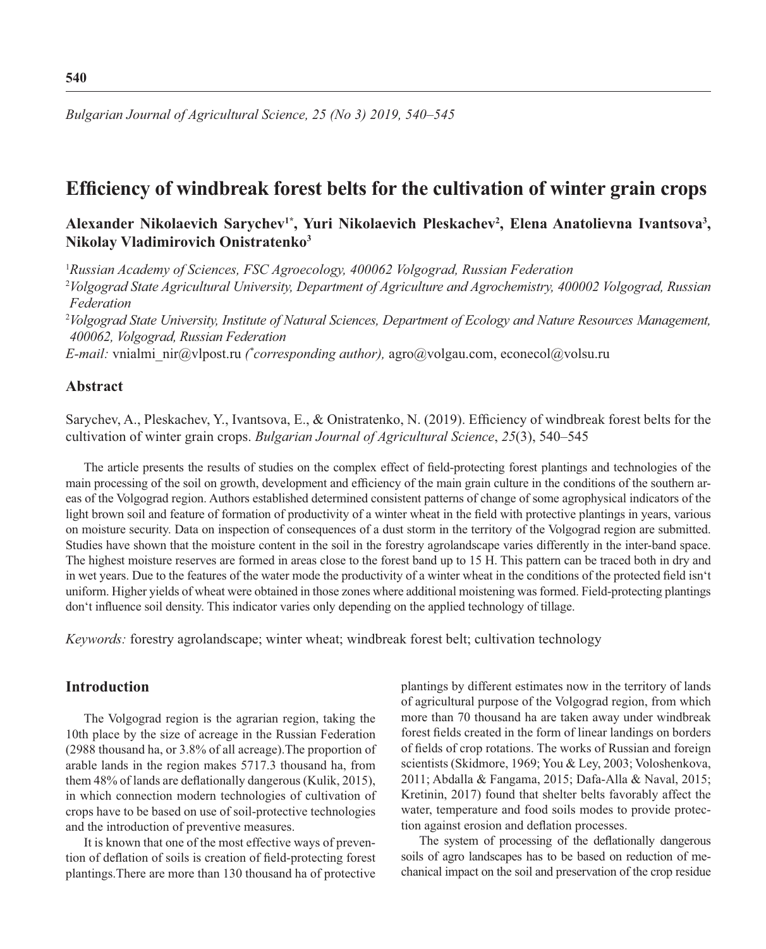*Bulgarian Journal of Agricultural Science, 25 (No 3) 2019, 540–545*

# **Efficiency of windbreak forest belts for the cultivation of winter grain crops**

# Alexander Nikolaevich Sarychev<sup>1\*</sup>, Yuri Nikolaevich Pleskachev<sup>2</sup>, Elena Anatolievna Ivantsova<sup>3</sup>, **Nikolay Vladimirovich Onistratenko3**

1 *Russian Academy of Sciences, FSC Agroecology, 400062 Volgograd, Russian Federation*

<sup>2</sup>*Volgograd State Agricultural University, Department of Agriculture and Agrochemistry, 400002 Volgograd, Russian Federation*

<sup>2</sup>*Volgograd State University, Institute of Natural Sciences, Department of Ecology and Nature Resources Management, 400062, Volgograd, Russian Federation*

*E-mail:* vnialmi\_nir@vlpost.ru *(\* corresponding author),* agro@volgau.com, econecol@volsu.ru

# **Abstract**

Sarychev, A., Pleskachev, Y., Ivantsova, E., & Onistratenko, N. (2019). Efficiency of windbreak forest belts for the cultivation of winter grain crops. *Bulgarian Journal of Agricultural Science*, *25*(3), 540–545

The article presents the results of studies on the complex effect of field-protecting forest plantings and technologies of the main processing of the soil on growth, development and efficiency of the main grain culture in the conditions of the southern areas of the Volgograd region. Authors established determined consistent patterns of change of some agrophysical indicators of the light brown soil and feature of formation of productivity of a winter wheat in the field with protective plantings in years, various on moisture security. Data on inspection of consequences of a dust storm in the territory of the Volgograd region are submitted. Studies have shown that the moisture content in the soil in the forestry agrolandscape varies differently in the inter-band space. The highest moisture reserves are formed in areas close to the forest band up to 15 H. This pattern can be traced both in dry and in wet years. Due to the features of the water mode the productivity of a winter wheat in the conditions of the protected field isn't uniform. Higher yields of wheat were obtained in those zones where additional moistening was formed. Field-protecting plantings don't influence soil density. This indicator varies only depending on the applied technology of tillage.

*Keywords:* forestry agrolandscape; winter wheat; windbreak forest belt; cultivation technology

# **Introduction**

The Volgograd region is the agrarian region, taking the 10th place by the size of acreage in the Russian Federation (2988 thousand ha, or 3.8% of all acreage).The proportion of arable lands in the region makes 5717.3 thousand ha, from them 48% of lands are deflationally dangerous (Kulik, 2015), in which connection modern technologies of cultivation of crops have to be based on use of soil-protective technologies and the introduction of preventive measures.

It is known that one of the most effective ways of prevention of deflation of soils is creation of field-protecting forest plantings.There are more than 130 thousand ha of protective plantings by different estimates now in the territory of lands of agricultural purpose of the Volgograd region, from which more than 70 thousand ha are taken away under windbreak forest fields created in the form of linear landings on borders of fields of crop rotations. The works of Russian and foreign scientists (Skidmore, 1969; You & Ley, 2003; Voloshenkova, 2011; Abdalla & Fangama, 2015; Dafa-Alla & Naval, 2015; Kretinin, 2017) found that shelter belts favorably affect the water, temperature and food soils modes to provide protection against erosion and deflation processes.

The system of processing of the deflationally dangerous soils of agro landscapes has to be based on reduction of mechanical impact on the soil and preservation of the crop residue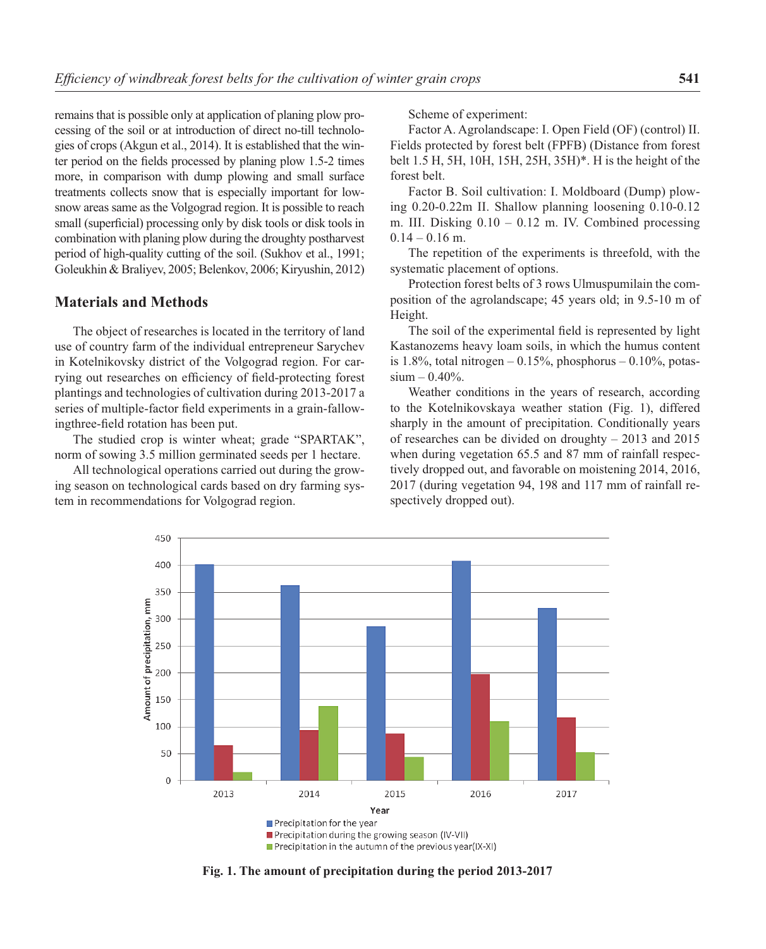remains that is possible only at application of planing plow processing of the soil or at introduction of direct no-till technologies of crops (Akgun et al., 2014). It is established that the winter period on the fields processed by planing plow 1.5-2 times more, in comparison with dump plowing and small surface treatments collects snow that is especially important for lowsnow areas same as the Volgograd region. It is possible to reach small (superficial) processing only by disk tools or disk tools in combination with planing plow during the droughty postharvest period of high-quality cutting of the soil. (Sukhov et al., 1991; Goleukhin & Braliyev, 2005; Belenkov, 2006; Kiryushin, 2012)

#### **Materials and Methods**

The object of researches is located in the territory of land use of country farm of the individual entrepreneur Sarychev in Kotelnikovsky district of the Volgograd region. For carrying out researches on efficiency of field-protecting forest plantings and technologies of cultivation during 2013-2017 a series of multiple-factor field experiments in a grain-fallowingthree-field rotation has been put.

The studied crop is winter wheat; grade "SPARTAK", norm of sowing 3.5 million germinated seeds per 1 hectare.

All technological operations carried out during the growing season on technological cards based on dry farming system in recommendations for Volgograd region.

Scheme of experiment:

Factor A. Agrolandscape: I. Open Field (OF) (control) II. Fields protected by forest belt (FPFB) (Distance from forest belt 1.5 H, 5H, 10H, 15H, 25H, 35H)\*. H is the height of the forest belt.

Factor B. Soil cultivation: I. Moldboard (Dump) plowing 0.20-0.22m II. Shallow planning loosening 0.10-0.12 m. III. Disking  $0.10 - 0.12$  m. IV. Combined processing  $0.14 - 0.16$  m.

The repetition of the experiments is threefold, with the systematic placement of options.

Protection forest belts of 3 rows Ulmuspumilain the composition of the agrolandscape; 45 years old; in 9.5-10 m of Height.

The soil of the experimental field is represented by light Kastanozems heavy loam soils, in which the humus content is  $1.8\%$ , total nitrogen – 0.15%, phosphorus – 0.10%, potas $sium - 0.40\%$ .

Weather conditions in the years of research, according to the Kotelnikovskaya weather station (Fig. 1), differed sharply in the amount of precipitation. Conditionally years of researches can be divided on droughty – 2013 and 2015 when during vegetation 65.5 and 87 mm of rainfall respectively dropped out, and favorable on moistening 2014, 2016, 2017 (during vegetation 94, 198 and 117 mm of rainfall respectively dropped out).



**Fig. 1. The amount of precipitation during the period 2013-2017**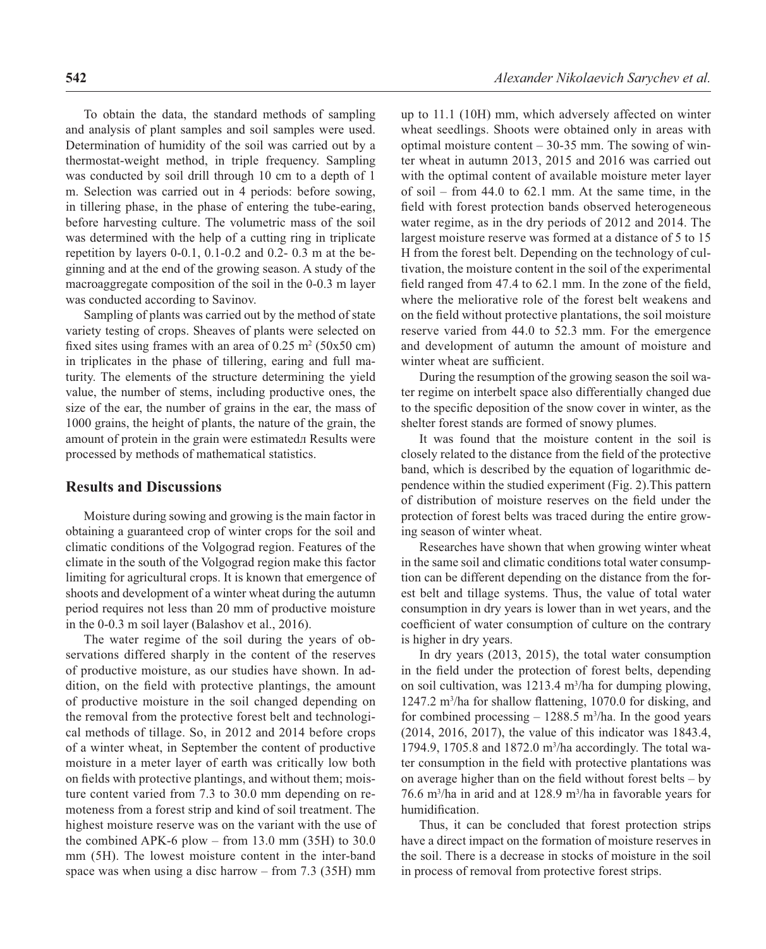To obtain the data, the standard methods of sampling and analysis of plant samples and soil samples were used. Determination of humidity of the soil was carried out by a thermostat-weight method, in triple frequency. Sampling was conducted by soil drill through 10 cm to a depth of 1 m. Selection was carried out in 4 periods: before sowing, in tillering phase, in the phase of entering the tube-earing, before harvesting culture. The volumetric mass of the soil was determined with the help of a cutting ring in triplicate repetition by layers 0-0.1, 0.1-0.2 and 0.2- 0.3 m at the beginning and at the end of the growing season. A study of the macroaggregate composition of the soil in the 0-0.3 m layer was conducted according to Savinov.

Sampling of plants was carried out by the method of state variety testing of crops. Sheaves of plants were selected on fixed sites using frames with an area of  $0.25 \text{ m}^2 (50 \text{x} 50 \text{ cm})$ in triplicates in the phase of tillering, earing and full maturity. The elements of the structure determining the yield value, the number of stems, including productive ones, the size of the ear, the number of grains in the ear, the mass of 1000 grains, the height of plants, the nature of the grain, the amount of protein in the grain were estimatedл Results were processed by methods of mathematical statistics.

### **Results and Discussions**

Moisture during sowing and growing is the main factor in obtaining a guaranteed crop of winter crops for the soil and climatic conditions of the Volgograd region. Features of the climate in the south of the Volgograd region make this factor limiting for agricultural crops. It is known that emergence of shoots and development of a winter wheat during the autumn period requires not less than 20 mm of productive moisture in the 0-0.3 m soil layer (Balashov et al., 2016).

The water regime of the soil during the years of observations differed sharply in the content of the reserves of productive moisture, as our studies have shown. In addition, on the field with protective plantings, the amount of productive moisture in the soil changed depending on the removal from the protective forest belt and technological methods of tillage. So, in 2012 and 2014 before crops of a winter wheat, in September the content of productive moisture in a meter layer of earth was critically low both on fields with protective plantings, and without them; moisture content varied from 7.3 to 30.0 mm depending on remoteness from a forest strip and kind of soil treatment. The highest moisture reserve was on the variant with the use of the combined APK-6 plow – from  $13.0$  mm  $(35H)$  to  $30.0$ mm (5H). The lowest moisture content in the inter-band space was when using a disc harrow – from 7.3 (35H) mm up to 11.1 (10H) mm, which adversely affected on winter wheat seedlings. Shoots were obtained only in areas with optimal moisture content  $-30-35$  mm. The sowing of winter wheat in autumn 2013, 2015 and 2016 was carried out with the optimal content of available moisture meter layer of soil – from 44.0 to 62.1 mm. At the same time, in the field with forest protection bands observed heterogeneous water regime, as in the dry periods of 2012 and 2014. The largest moisture reserve was formed at a distance of 5 to 15 H from the forest belt. Depending on the technology of cultivation, the moisture content in the soil of the experimental field ranged from  $47.4$  to  $62.1$  mm. In the zone of the field, where the meliorative role of the forest belt weakens and on the field without protective plantations, the soil moisture reserve varied from 44.0 to 52.3 mm. For the emergence and development of autumn the amount of moisture and winter wheat are sufficient.

During the resumption of the growing season the soil water regime on interbelt space also differentially changed due to the specific deposition of the snow cover in winter, as the shelter forest stands are formed of snowy plumes.

It was found that the moisture content in the soil is closely related to the distance from the field of the protective band, which is described by the equation of logarithmic dependence within the studied experiment (Fig. 2).This pattern of distribution of moisture reserves on the field under the protection of forest belts was traced during the entire growing season of winter wheat.

Researches have shown that when growing winter wheat in the same soil and climatic conditions total water consumption can be different depending on the distance from the forest belt and tillage systems. Thus, the value of total water consumption in dry years is lower than in wet years, and the coefficient of water consumption of culture on the contrary is higher in dry years.

In dry years (2013, 2015), the total water consumption in the field under the protection of forest belts, depending on soil cultivation, was 1213.4 m<sup>3</sup>/ha for dumping plowing, 1247.2 m<sup>3</sup>/ha for shallow flattening, 1070.0 for disking, and for combined processing  $-1288.5$  m<sup>3</sup>/ha. In the good years (2014, 2016, 2017), the value of this indicator was 1843.4, 1794.9, 1705.8 and 1872.0 m3 /ha accordingly. The total water consumption in the field with protective plantations was on average higher than on the field without forest belts  $-$  by 76.6 m3 /ha in arid and at 128.9 m3 /ha in favorable years for humidification.

Thus, it can be concluded that forest protection strips have a direct impact on the formation of moisture reserves in the soil. There is a decrease in stocks of moisture in the soil in process of removal from protective forest strips.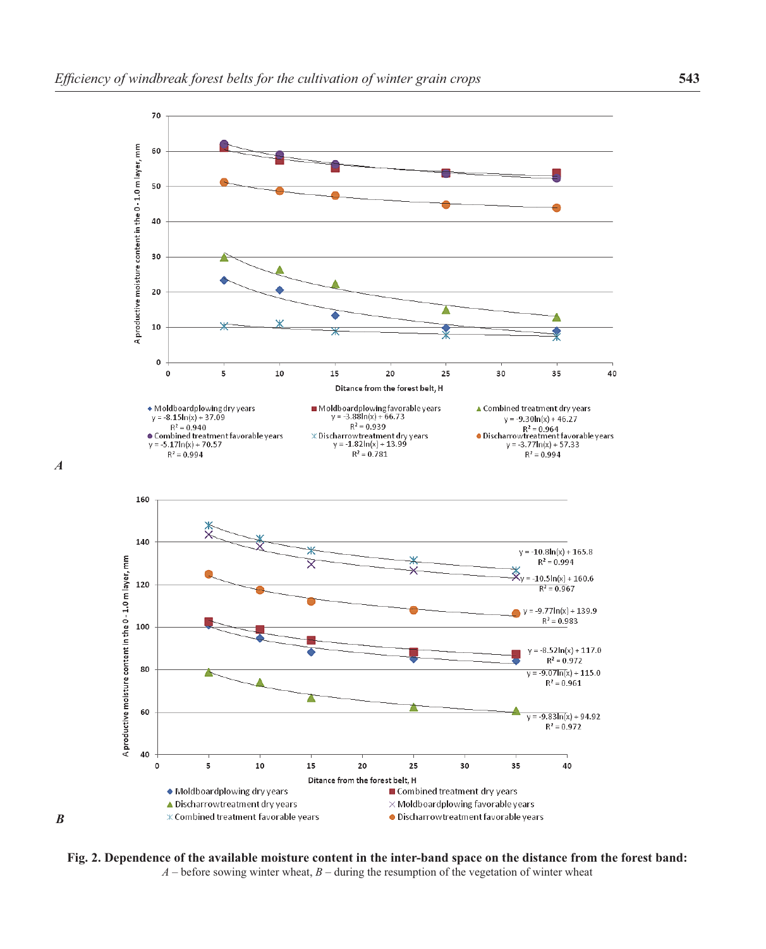

**Fig. 2. Dependence of the available moisture content in the inter-band space on the distance from the forest band:**  $A$  – before sowing winter wheat,  $B$  – during the resumption of the vegetation of winter wheat

*A*

*B*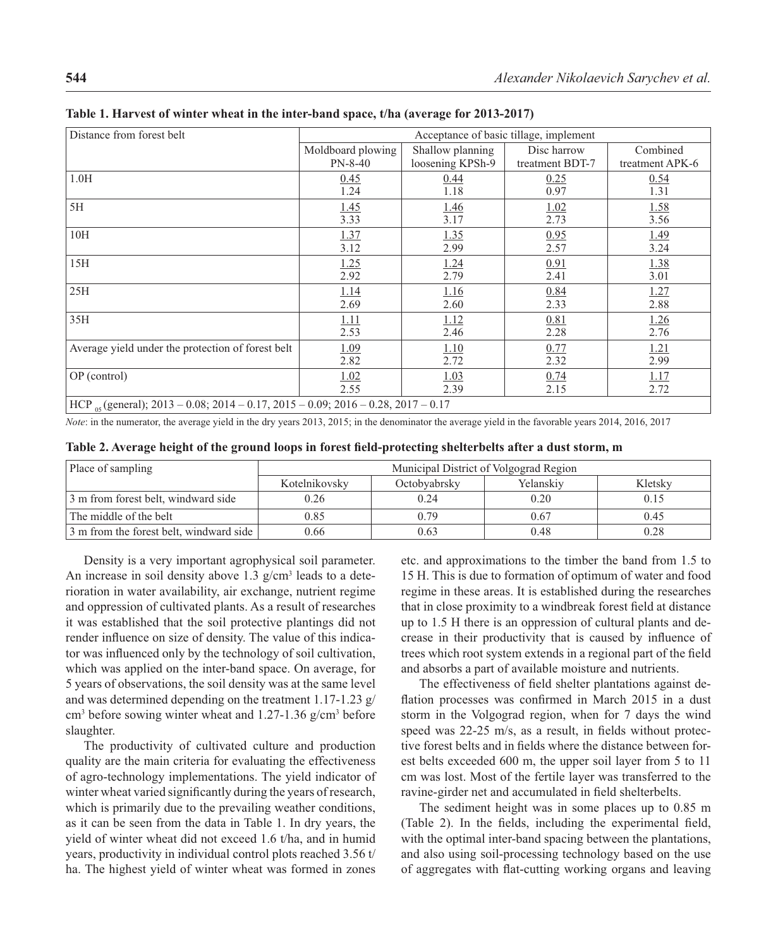| Distance from forest belt                                                              | Acceptance of basic tillage, implement |                  |                 |                 |  |  |
|----------------------------------------------------------------------------------------|----------------------------------------|------------------|-----------------|-----------------|--|--|
|                                                                                        | Moldboard plowing                      | Shallow planning | Disc harrow     | Combined        |  |  |
|                                                                                        | $PN-8-40$                              | loosening KPSh-9 | treatment BDT-7 | treatment APK-6 |  |  |
| 1.0H                                                                                   | 0.45                                   | 0.44             | 0.25            | 0.54            |  |  |
|                                                                                        | 1.24                                   | 1.18             | 0.97            | 1.31            |  |  |
| 5H                                                                                     | 1.45                                   | <u>1.46</u>      | 1.02            | 1.58            |  |  |
|                                                                                        | 3.33                                   | 3.17             | 2.73            | 3.56            |  |  |
| 10H                                                                                    | <u>1.37</u>                            | <u>1.35</u>      | 0.95            | 1.49            |  |  |
|                                                                                        | 3.12                                   | 2.99             | 2.57            | 3.24            |  |  |
| 15H                                                                                    | 1.25                                   | 1.24             | 0.91            | 1.38            |  |  |
|                                                                                        | 2.92                                   | 2.79             | 2.41            | 3.01            |  |  |
| 25H                                                                                    | 1.14                                   | <u>1.16</u>      | 0.84            | 1.27            |  |  |
|                                                                                        | 2.69                                   | 2.60             | 2.33            | 2.88            |  |  |
| 35H                                                                                    | 1.11                                   | 1.12             | 0.81            | 1.26            |  |  |
|                                                                                        | 2.53                                   | 2.46             | 2.28            | 2.76            |  |  |
| Average yield under the protection of forest belt                                      | <u>1.09</u>                            | 1.10             | 0.77            | <u>1.21</u>     |  |  |
|                                                                                        | 2.82                                   | 2.72             | 2.32            | 2.99            |  |  |
| OP (control)                                                                           | 1.02                                   | 1.03             | 0.74            | <u>1.17</u>     |  |  |
|                                                                                        | 2.55                                   | 2.39             | 2.15            | 2.72            |  |  |
| HCP $_{05}$ (general); 2013 – 0.08; 2014 – 0.17, 2015 – 0.09; 2016 – 0.28, 2017 – 0.17 |                                        |                  |                 |                 |  |  |

**Table 1. Harvest of winter wheat in the inter-band space, t/ha (average for 2013-2017)**

*Note*: in the numerator, the average yield in the dry years 2013, 2015; in the denominator the average yield in the favorable years 2014, 2016, 2017

| Table 2. Average height of the ground loops in forest field-protecting shelterbelts after a dust storm, m |  |  |  |
|-----------------------------------------------------------------------------------------------------------|--|--|--|
|-----------------------------------------------------------------------------------------------------------|--|--|--|

| Place of sampling                       | Municipal District of Volgograd Region |              |           |         |  |
|-----------------------------------------|----------------------------------------|--------------|-----------|---------|--|
|                                         | Kotelnikovsky                          | Octobvabrsky | Yelanskiv | Kletsky |  |
| 3 m from forest belt, windward side     | 0.26                                   | 0.24         | 0.20      | 0.15    |  |
| The middle of the belt                  | 0.85                                   | 0.79         | 0.67      | 0.45    |  |
| 3 m from the forest belt, windward side | 0.66                                   | 0.63         | 0.48      | 0.28    |  |

Density is a very important agrophysical soil parameter. An increase in soil density above  $1.3$  g/cm<sup>3</sup> leads to a deterioration in water availability, air exchange, nutrient regime and oppression of cultivated plants. As a result of researches it was established that the soil protective plantings did not render influence on size of density. The value of this indicator was influenced only by the technology of soil cultivation, which was applied on the inter-band space. On average, for 5 years of observations, the soil density was at the same level and was determined depending on the treatment 1.17-1.23 g/ cm<sup>3</sup> before sowing winter wheat and 1.27-1.36 g/cm<sup>3</sup> before slaughter.

The productivity of cultivated culture and production quality are the main criteria for evaluating the effectiveness of agro-technology implementations. The yield indicator of winter wheat varied significantly during the years of research, which is primarily due to the prevailing weather conditions, as it can be seen from the data in Table 1. In dry years, the yield of winter wheat did not exceed 1.6 t/ha, and in humid years, productivity in individual control plots reached 3.56 t/ ha. The highest yield of winter wheat was formed in zones

etc. and approximations to the timber the band from 1.5 to 15 H. This is due to formation of optimum of water and food regime in these areas. It is established during the researches that in close proximity to a windbreak forest field at distance up to 1.5 H there is an oppression of cultural plants and decrease in their productivity that is caused by influence of trees which root system extends in a regional part of the field and absorbs a part of available moisture and nutrients.

The effectiveness of field shelter plantations against deflation processes was confirmed in March 2015 in a dust storm in the Volgograd region, when for 7 days the wind speed was  $22-25$  m/s, as a result, in fields without protective forest belts and in fields where the distance between forest belts exceeded 600 m, the upper soil layer from 5 to 11 cm was lost. Most of the fertile layer was transferred to the ravine-girder net and accumulated in field shelterbelts.

The sediment height was in some places up to 0.85 m (Table 2). In the fields, including the experimental field, with the optimal inter-band spacing between the plantations, and also using soil-processing technology based on the use of aggregates with flat-cutting working organs and leaving